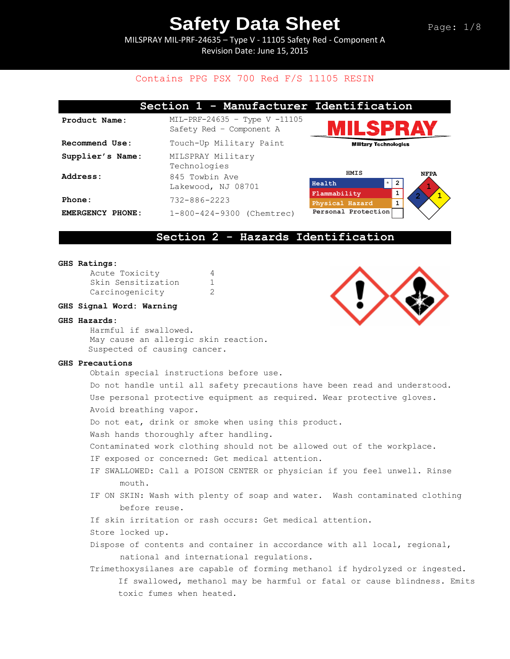MILSPRAY MIL-PRF-24635 – Type V - 11105 Safety Red - Component A Revision Date: June 15, 2015

## Contains PPG PSX 700 Red F/S 11105 RESIN

|                            | Section 1 - Manufacturer Identification                     |                                 |                               |
|----------------------------|-------------------------------------------------------------|---------------------------------|-------------------------------|
| Product Name:              | $MIL-PRF-24635 - Type V -11105$<br>Safety Red - Component A | IILSPRAY                        |                               |
| Recommend Use:             | Touch-Up Military Paint                                     | <b>Military Technologies</b>    |                               |
| Supplier's Name:           | MILSPRAY Military<br>Technologies                           |                                 |                               |
| Address:                   | 845 Towbin Ave<br>Lakewood, NJ 08701                        | HMIS<br>$\star$<br>Health       | <b>NFPA</b><br>$\overline{2}$ |
| Phone:                     | $732 - 886 - 2223$                                          | Flammability<br>Physical Hazard | 1                             |
| <b>EMERGENCY</b><br>PHONE: | 1-800-424-9300 (Chemtrec)                                   | Personal Protection             |                               |

### **Section 2 - Hazards Identification**

#### **GHS Ratings:**

| Acute Toxicity     |   |
|--------------------|---|
| Skin Sensitization |   |
| Carcinogenicity    | 2 |

### **GHS Signal Word: Warning**

#### **GHS Hazards:**

Harmful if swallowed. May cause an allergic skin reaction. Suspected of causing cancer.

### **GHS Precautions**

Obtain special instructions before use.

Do not handle until all safety precautions have been read and understood. Use personal protective equipment as required. Wear protective gloves. Avoid breathing vapor.

Do not eat, drink or smoke when using this product.

Wash hands thoroughly after handling.

Contaminated work clothing should not be allowed out of the workplace.

IF exposed or concerned: Get medical attention.

- IF SWALLOWED: Call a POISON CENTER or physician if you feel unwell. Rinse mouth.
- IF ON SKIN: Wash with plenty of soap and water. Wash contaminated clothing before reuse.

If skin irritation or rash occurs: Get medical attention.

Store locked up.

Dispose of contents and container in accordance with all local, regional, national and international regulations.

Trimethoxysilanes are capable of forming methanol if hydrolyzed or ingested. If swallowed, methanol may be harmful or fatal or cause blindness. Emits toxic fumes when heated.

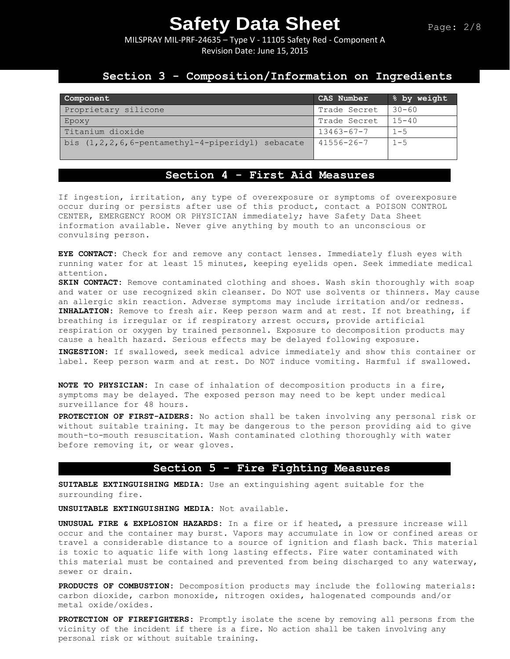MILSPRAY MIL-PRF-24635 – Type V - 11105 Safety Red - Component A Revision Date: June 15, 2015

### **Section 3 - Composition/Information on Ingredients**

| Component                                                  | CAS Number       | % by weight |
|------------------------------------------------------------|------------------|-------------|
| Proprietary silicone                                       | Trade Secret     | $30 - 60$   |
| Epoxy                                                      | Trade Secret     | $15 - 40$   |
| Titanium dioxide                                           | $13463 - 67 - 7$ | $1 - 5$     |
| bis $(1, 2, 2, 6, 6$ -pentamethyl-4-piperidyl)<br>sebacate | $41556 - 26 - 7$ | $1 - 5$     |

## **Section 4 - First Aid Measures**

If ingestion, irritation, any type of overexposure or symptoms of overexposure occur during or persists after use of this product, contact a POISON CONTROL CENTER, EMERGENCY ROOM OR PHYSICIAN immediately; have Safety Data Sheet information available. Never give anything by mouth to an unconscious or convulsing person.

**EYE CONTACT:** Check for and remove any contact lenses. Immediately flush eyes with running water for at least 15 minutes, keeping eyelids open. Seek immediate medical attention.

**SKIN CONTACT:** Remove contaminated clothing and shoes. Wash skin thoroughly with soap and water or use recognized skin cleanser. Do NOT use solvents or thinners. May cause an allergic skin reaction. Adverse symptoms may include irritation and/or redness. **INHALATION:** Remove to fresh air. Keep person warm and at rest. If not breathing, if breathing is irregular or if respiratory arrest occurs, provide artificial respiration or oxygen by trained personnel. Exposure to decomposition products may cause a health hazard. Serious effects may be delayed following exposure.

**INGESTION:** If swallowed, seek medical advice immediately and show this container or label. Keep person warm and at rest. Do NOT induce vomiting. Harmful if swallowed.

**NOTE TO PHYSICIAN:** In case of inhalation of decomposition products in a fire, symptoms may be delayed. The exposed person may need to be kept under medical surveillance for 48 hours.

**PROTECTION OF FIRST-AIDERS:** No action shall be taken involving any personal risk or without suitable training. It may be dangerous to the person providing aid to give mouth-to-mouth resuscitation. Wash contaminated clothing thoroughly with water before removing it, or wear gloves.

### **Section 5 - Fire Fighting Measures**

**SUITABLE EXTINGUISHING MEDIA:** Use an extinguishing agent suitable for the surrounding fire.

**UNSUITABLE EXTINGUISHING MEDIA:** Not available.

**UNUSUAL FIRE & EXPLOSION HAZARDS:** In a fire or if heated, a pressure increase will occur and the container may burst. Vapors may accumulate in low or confined areas or travel a considerable distance to a source of ignition and flash back. This material is toxic to aquatic life with long lasting effects. Fire water contaminated with this material must be contained and prevented from being discharged to any waterway, sewer or drain.

**PRODUCTS OF COMBUSTION:** Decomposition products may include the following materials: carbon dioxide, carbon monoxide, nitrogen oxides, halogenated compounds and/or metal oxide/oxides.

**PROTECTION OF FIREFIGHTERS:** Promptly isolate the scene by removing all persons from the vicinity of the incident if there is a fire. No action shall be taken involving any personal risk or without suitable training.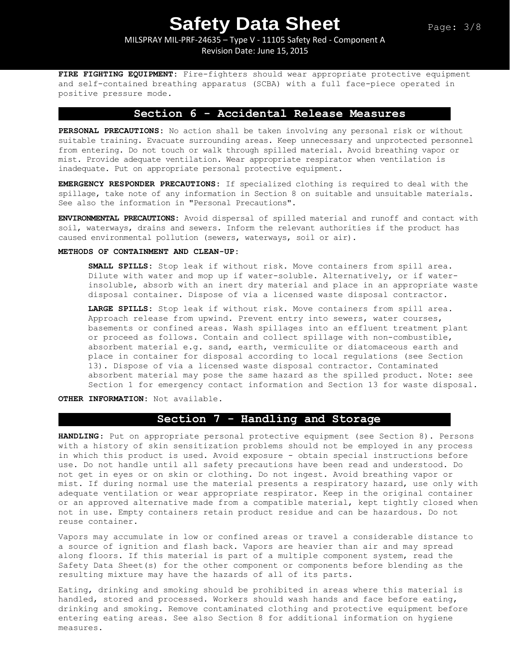MILSPRAY MIL-PRF-24635 – Type V - 11105 Safety Red - Component A Revision Date: June 15, 2015

**FIRE FIGHTING EQUIPMENT:** Fire-fighters should wear appropriate protective equipment and self-contained breathing apparatus (SCBA) with a full face-piece operated in positive pressure mode.

### **Section 6 - Accidental Release Measures**

**PERSONAL PRECAUTIONS:** No action shall be taken involving any personal risk or without suitable training. Evacuate surrounding areas. Keep unnecessary and unprotected personnel from entering. Do not touch or walk through spilled material. Avoid breathing vapor or mist. Provide adequate ventilation. Wear appropriate respirator when ventilation is inadequate. Put on appropriate personal protective equipment.

**EMERGENCY RESPONDER PRECAUTIONS:** If specialized clothing is required to deal with the spillage, take note of any information in Section 8 on suitable and unsuitable materials. See also the information in "Personal Precautions".

**ENVIRONMENTAL PRECAUTIONS:** Avoid dispersal of spilled material and runoff and contact with soil, waterways, drains and sewers. Inform the relevant authorities if the product has caused environmental pollution (sewers, waterways, soil or air).

### **METHODS OF CONTAINMENT AND CLEAN-UP:**

**SMALL SPILLS:** Stop leak if without risk. Move containers from spill area. Dilute with water and mop up if water-soluble. Alternatively, or if waterinsoluble, absorb with an inert dry material and place in an appropriate waste disposal container. Dispose of via a licensed waste disposal contractor.

**LARGE SPILLS:** Stop leak if without risk. Move containers from spill area. Approach release from upwind. Prevent entry into sewers, water courses, basements or confined areas. Wash spillages into an effluent treatment plant or proceed as follows. Contain and collect spillage with non-combustible, absorbent material e.g. sand, earth, vermiculite or diatomaceous earth and place in container for disposal according to local regulations (see Section 13). Dispose of via a licensed waste disposal contractor. Contaminated absorbent material may pose the same hazard as the spilled product. Note: see Section 1 for emergency contact information and Section 13 for waste disposal.

**OTHER INFORMATION:** Not available.

## **Section 7 - Handling and Storage**

**HANDLING**: Put on appropriate personal protective equipment (see Section 8). Persons with a history of skin sensitization problems should not be employed in any process in which this product is used. Avoid exposure - obtain special instructions before use. Do not handle until all safety precautions have been read and understood. Do not get in eyes or on skin or clothing. Do not ingest. Avoid breathing vapor or mist. If during normal use the material presents a respiratory hazard, use only with adequate ventilation or wear appropriate respirator. Keep in the original container or an approved alternative made from a compatible material, kept tightly closed when not in use. Empty containers retain product residue and can be hazardous. Do not reuse container.

Vapors may accumulate in low or confined areas or travel a considerable distance to a source of ignition and flash back. Vapors are heavier than air and may spread along floors. If this material is part of a multiple component system, read the Safety Data Sheet(s) for the other component or components before blending as the resulting mixture may have the hazards of all of its parts.

Eating, drinking and smoking should be prohibited in areas where this material is handled, stored and processed. Workers should wash hands and face before eating, drinking and smoking. Remove contaminated clothing and protective equipment before entering eating areas. See also Section 8 for additional information on hygiene measures.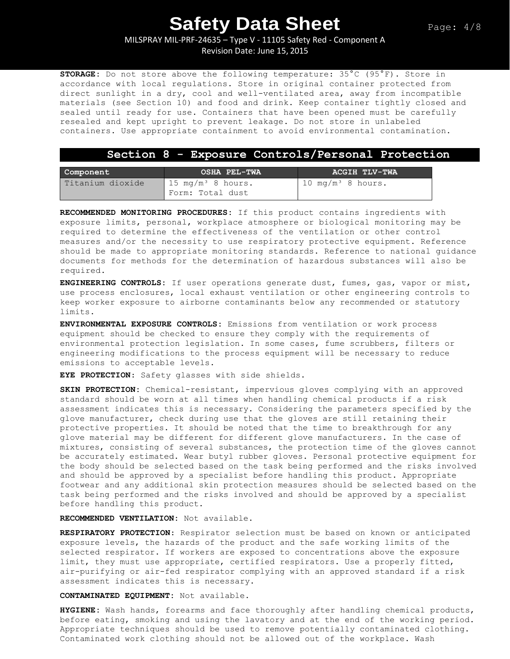MILSPRAY MIL-PRF-24635 – Type V - 11105 Safety Red - Component A Revision Date: June 15, 2015

**STORAGE:** Do not store above the following temperature: 35°C (95°F). Store in accordance with local regulations. Store in original container protected from direct sunlight in a dry, cool and well-ventilated area, away from incompatible materials (see Section 10) and food and drink. Keep container tightly closed and sealed until ready for use. Containers that have been opened must be carefully resealed and kept upright to prevent leakage. Do not store in unlabeled containers. Use appropriate containment to avoid environmental contamination.

### **Section 8 - Exposure Controls/Personal Protection**

| Component        | OSHA PEL-TWA                                     | ACGIH TLV-TWA                 |
|------------------|--------------------------------------------------|-------------------------------|
| Titanium dioxide | $15 \text{ mg/m}^3$ 8 hours.<br>Form: Total dust | 10 mg/m <sup>3</sup> 8 hours. |

**RECOMMENDED MONITORING PROCEDURES:** If this product contains ingredients with exposure limits, personal, workplace atmosphere or biological monitoring may be required to determine the effectiveness of the ventilation or other control measures and/or the necessity to use respiratory protective equipment. Reference should be made to appropriate monitoring standards. Reference to national guidance documents for methods for the determination of hazardous substances will also be required.

**ENGINEERING CONTROLS:** If user operations generate dust, fumes, gas, vapor or mist, use process enclosures, local exhaust ventilation or other engineering controls to keep worker exposure to airborne contaminants below any recommended or statutory limits.

**ENVIRONMENTAL EXPOSURE CONTROLS:** Emissions from ventilation or work process equipment should be checked to ensure they comply with the requirements of environmental protection legislation. In some cases, fume scrubbers, filters or engineering modifications to the process equipment will be necessary to reduce emissions to acceptable levels.

**EYE PROTECTION**: Safety glasses with side shields.

**SKIN PROTECTION:** Chemical-resistant, impervious gloves complying with an approved standard should be worn at all times when handling chemical products if a risk assessment indicates this is necessary. Considering the parameters specified by the glove manufacturer, check during use that the gloves are still retaining their protective properties. It should be noted that the time to breakthrough for any glove material may be different for different glove manufacturers. In the case of mixtures, consisting of several substances, the protection time of the gloves cannot be accurately estimated. Wear butyl rubber gloves. Personal protective equipment for the body should be selected based on the task being performed and the risks involved and should be approved by a specialist before handling this product. Appropriate footwear and any additional skin protection measures should be selected based on the task being performed and the risks involved and should be approved by a specialist before handling this product.

**RECOMMENDED VENTILATION:** Not available.

**RESPIRATORY PROTECTION**: Respirator selection must be based on known or anticipated exposure levels, the hazards of the product and the safe working limits of the selected respirator. If workers are exposed to concentrations above the exposure limit, they must use appropriate, certified respirators. Use a properly fitted, air-purifying or air-fed respirator complying with an approved standard if a risk assessment indicates this is necessary.

**CONTAMINATED EQUIPMENT:** Not available.

**HYGIENE:** Wash hands, forearms and face thoroughly after handling chemical products, before eating, smoking and using the lavatory and at the end of the working period. Appropriate techniques should be used to remove potentially contaminated clothing. Contaminated work clothing should not be allowed out of the workplace. Wash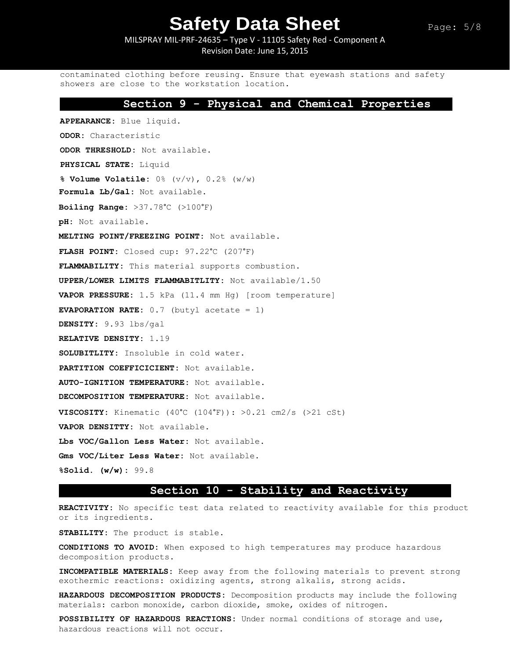MILSPRAY MIL-PRF-24635 – Type V - 11105 Safety Red - Component A Revision Date: June 15, 2015

contaminated clothing before reusing. Ensure that eyewash stations and safety showers are close to the workstation location.

### **Section 9 - Physical and Chemical Properties**

**APPEARANCE:** Blue liquid. **ODOR:** Characteristic **ODOR THRESHOLD:** Not available. **PHYSICAL STATE:** Liquid **% Volume Volatile:** 0% (v/v), 0.2% (w/w) **Formula Lb/Gal:** Not available. **Boiling Range:** >37.78°C (>100°F) **pH:** Not available. **MELTING POINT/FREEZING POINT:** Not available. **FLASH POINT:** Closed cup: 97.22°C (207°F) **FLAMMABILITY:** This material supports combustion. **UPPER/LOWER LIMITS FLAMMABITLITY:** Not available/1.50 **VAPOR PRESSURE:** 1.5 kPa (11.4 mm Hg) [room temperature] **EVAPORATION RATE:** 0.7 (butyl acetate = 1) **DENSITY:** 9.93 lbs/gal **RELATIVE DENSITY:** 1.19 **SOLUBITLITY:** Insoluble in cold water. **PARTITION COEFFICICIENT:** Not available. **AUTO-IGNITION TEMPERATURE:** Not available. **DECOMPOSITION TEMPERATURE:** Not available. **VISCOSITY:** Kinematic (40°C (104°F)): >0.21 cm2/s (>21 cSt) **VAPOR DENSITTY:** Not available. **Lbs VOC/Gallon Less Water:** Not available. **Gms VOC/Liter Less Water:** Not available. **%Solid. (w/w):** 99.8

### **Section 10 - Stability and Reactivity**

**REACTIVITY:** No specific test data related to reactivity available for this product or its ingredients.

**STABILITY:** The product is stable.

**CONDITIONS TO AVOID:** When exposed to high temperatures may produce hazardous decomposition products.

**INCOMPATIBLE MATERIALS:** Keep away from the following materials to prevent strong exothermic reactions: oxidizing agents, strong alkalis, strong acids.

**HAZARDOUS DECOMPOSITION PRODUCTS:** Decomposition products may include the following materials: carbon monoxide, carbon dioxide, smoke, oxides of nitrogen**.**

**POSSIBILITY OF HAZARDOUS REACTIONS:** Under normal conditions of storage and use, hazardous reactions will not occur.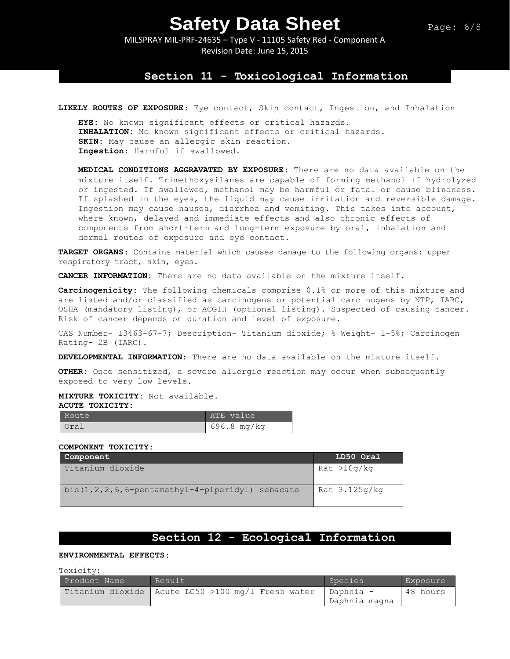### Page: 6/8

# **Safety Data Sheet**

MILSPRAY MIL-PRF-24635 – Type V - 11105 Safety Red - Component A Revision Date: June 15, 2015

### **Section 11 - Toxicological Information**

**LIKELY ROUTES OF EXPOSURE:** Eye contact, Skin contact, Ingestion, and Inhalation

**EYE:** No known significant effects or critical hazards. **INHALATION:** No known significant effects or critical hazards. **SKIN:** May cause an allergic skin reaction. **Ingestion:** Harmful if swallowed.

**MEDICAL CONDITIONS AGGRAVATED BY EXPOSURE:** There are no data available on the mixture itself. Trimethoxysilanes are capable of forming methanol if hydrolyzed or ingested. If swallowed, methanol may be harmful or fatal or cause blindness. If splashed in the eyes, the liquid may cause irritation and reversible damage. Ingestion may cause nausea, diarrhea and vomiting. This takes into account, where known, delayed and immediate effects and also chronic effects of components from short-term and long-term exposure by oral, inhalation and dermal routes of exposure and eye contact.

**TARGET ORGANS:** Contains material which causes damage to the following organs: upper respiratory tract, skin, eyes.

**CANCER INFORMATION:** There are no data available on the mixture itself.

**Carcinogenicity:** The following chemicals comprise 0.1% or more of this mixture and are listed and/or classified as carcinogens or potential carcinogens by NTP, IARC, OSHA (mandatory listing), or ACGIH (optional listing). Suspected of causing cancer. Risk of cancer depends on duration and level of exposure.

CAS Number- 13463-67-7; Description- Titanium dioxide; % Weight- 1-5%; Carcinogen Rating- 2B (IARC).

**DEVELOPMENTAL INFORMATION:** There are no data available on the mixture itself.

**OTHER:** Once sensitized, a severe allergic reaction may occur when subsequently exposed to very low levels.

**MIXTURE TOXICITY:** Not available.

#### **ACUTE TOXICITY:**

| Route | ATE value   |
|-------|-------------|
| Oral  | 696.8 mg/kg |

#### **COMPONENT TOXICITY:**

| Component                                               | LD50 Oral       |
|---------------------------------------------------------|-----------------|
| Titanium dioxide                                        | Rat > 10q/kg    |
| bis $(1, 2, 2, 6, 6$ -pentamethyl-4-piperidyl) sebacate | Rat $3.125q/kq$ |

### **Section 12 - Ecological Information**

**ENVIRONMENTAL EFFECTS:**

Toxicity:

| Product Name | Result                                              | Species       | Exposure |
|--------------|-----------------------------------------------------|---------------|----------|
|              | Titanium dioxide   Acute LC50 >100 mg/l Fresh water | Daphnia -     | 48 hours |
|              |                                                     | Daphnia magna |          |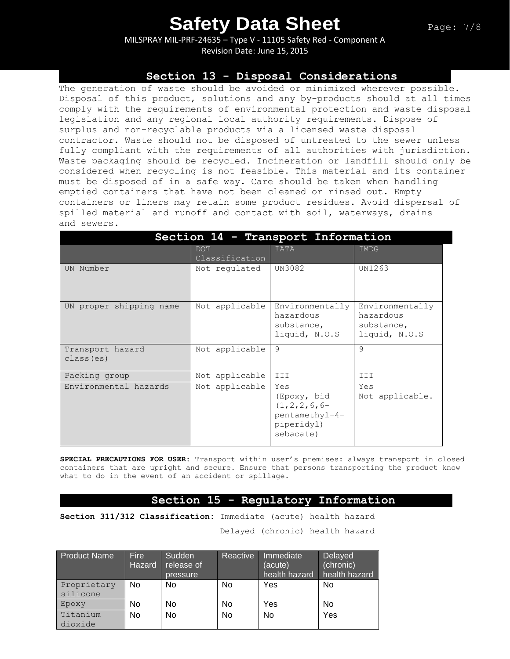MILSPRAY MIL-PRF-24635 – Type V - 11105 Safety Red - Component A Revision Date: June 15, 2015

### **Section 13 - Disposal Considerations**

The generation of waste should be avoided or minimized wherever possible. Disposal of this product, solutions and any by-products should at all times comply with the requirements of environmental protection and waste disposal legislation and any regional local authority requirements. Dispose of surplus and non-recyclable products via a licensed waste disposal contractor. Waste should not be disposed of untreated to the sewer unless fully compliant with the requirements of all authorities with jurisdiction. Waste packaging should be recycled. Incineration or landfill should only be considered when recycling is not feasible. This material and its container must be disposed of in a safe way. Care should be taken when handling emptied containers that have not been cleaned or rinsed out. Empty containers or liners may retain some product residues. Avoid dispersal of spilled material and runoff and contact with soil, waterways, drains and sewers.

| Section 14 - Transport Information |                              |                                                                                      |                                                             |  |
|------------------------------------|------------------------------|--------------------------------------------------------------------------------------|-------------------------------------------------------------|--|
|                                    | <b>DOT</b><br>Classification | <b>IATA</b>                                                                          | IMDG                                                        |  |
| UN Number                          | Not regulated                | UN3082                                                                               | UN1263                                                      |  |
| UN proper shipping name            | Not applicable               | Environmentally<br>hazardous<br>substance,<br>liquid, N.O.S                          | Environmentally<br>hazardous<br>substance,<br>liquid, N.O.S |  |
| Transport hazard<br>class (es)     | Not applicable               | 9                                                                                    | 9                                                           |  |
| Packing group                      | Not applicable               | III                                                                                  | III                                                         |  |
| Environmental hazards              | Not applicable               | Yes<br>(Epoxy, bid<br>$(1, 2, 2, 6, 6-$<br>pentamethyl-4-<br>piperidyl)<br>sebacate) | Yes<br>Not applicable.                                      |  |

**SPECIAL PRECAUTIONS FOR USER:** Transport within user's premises: always transport in closed containers that are upright and secure. Ensure that persons transporting the product know what to do in the event of an accident or spillage.

### **Section 15 - Regulatory Information**

**Section 311/312 Classification:** Immediate (acute) health hazard

Delayed (chronic) health hazard

| <b>Product Name</b> | <b>Fire</b><br><b>Hazard</b> | Sudden<br>release of<br>pressure | Reactive | Immediate<br>(acute)<br>health hazard | Delayed<br>(chronic)<br>health hazard |
|---------------------|------------------------------|----------------------------------|----------|---------------------------------------|---------------------------------------|
| Proprietary         | No                           | No                               | No       | Yes                                   | No                                    |
| silicone            |                              |                                  |          |                                       |                                       |
| Epoxy               | No                           | No                               | No       | Yes                                   | No                                    |
| Titanium            | No                           | No                               | No       | <b>No</b>                             | Yes                                   |
| dioxide             |                              |                                  |          |                                       |                                       |